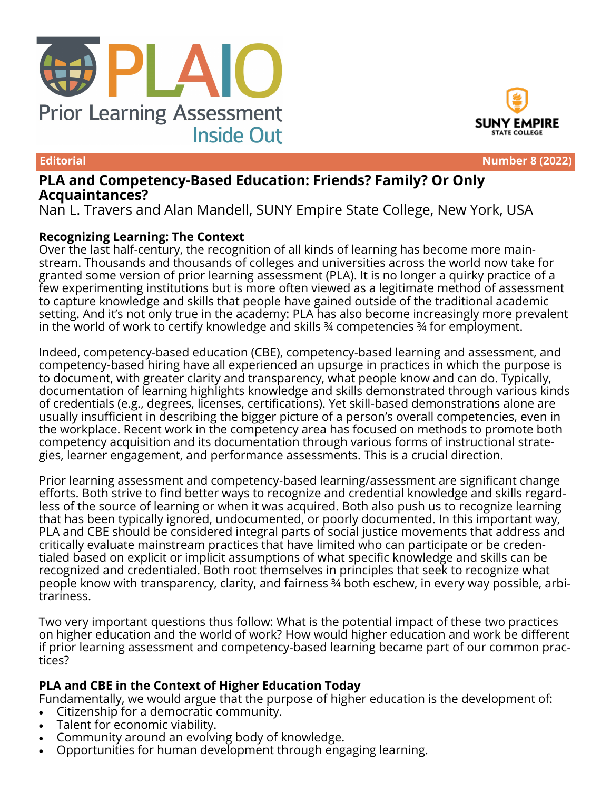





**Editorial Number 8 (2022)**

# **PLA and Competency-Based Education: Friends? Family? Or Only Acquaintances?**

Nan L. Travers and Alan Mandell, SUNY Empire State College, New York, USA

## **Recognizing Learning: The Context**

Over the last half-century, the recognition of all kinds of learning has become more mainstream. Thousands and thousands of colleges and universities across the world now take for granted some version of prior learning assessment (PLA). It is no longer a quirky practice of a few experimenting institutions but is more often viewed as a legitimate method of assessment to capture knowledge and skills that people have gained outside of the traditional academic setting. And it's not only true in the academy: PLA has also become increasingly more prevalent in the world of work to certify knowledge and skills ¾ competencies ¾ for employment.

Indeed, competency-based education (CBE), competency-based learning and assessment, and competency-based hiring have all experienced an upsurge in practices in which the purpose is to document, with greater clarity and transparency, what people know and can do. Typically, documentation of learning highlights knowledge and skills demonstrated through various kinds of credentials (e.g., degrees, licenses, certifications). Yet skill-based demonstrations alone are usually insufficient in describing the bigger picture of a person's overall competencies, even in the workplace. Recent work in the competency area has focused on methods to promote both competency acquisition and its documentation through various forms of instructional strategies, learner engagement, and performance assessments. This is a crucial direction.

Prior learning assessment and competency-based learning/assessment are significant change efforts. Both strive to find better ways to recognize and credential knowledge and skills regardless of the source of learning or when it was acquired. Both also push us to recognize learning that has been typically ignored, undocumented, or poorly documented. In this important way, PLA and CBE should be considered integral parts of social justice movements that address and critically evaluate mainstream practices that have limited who can participate or be credentialed based on explicit or implicit assumptions of what specific knowledge and skills can be recognized and credentialed. Both root themselves in principles that seek to recognize what people know with transparency, clarity, and fairness ¾ both eschew, in every way possible, arbitrariness.

Two very important questions thus follow: What is the potential impact of these two practices on higher education and the world of work? How would higher education and work be different if prior learning assessment and competency-based learning became part of our common practices?

## **PLA and CBE in the Context of Higher Education Today**

Fundamentally, we would argue that the purpose of higher education is the development of:

- Citizenship for a democratic community.
- Talent for economic viability.
- Community around an evolving body of knowledge.
- Opportunities for human development through engaging learning.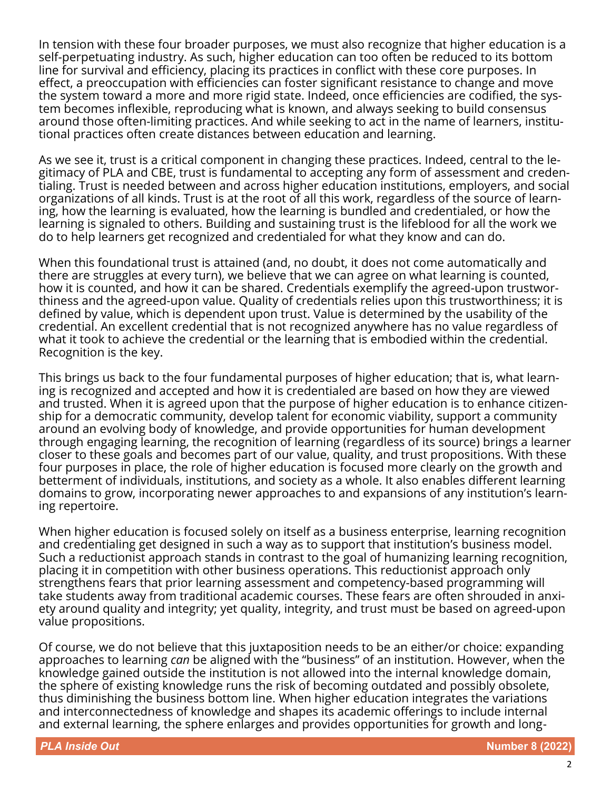In tension with these four broader purposes, we must also recognize that higher education is a self-perpetuating industry. As such, higher education can too often be reduced to its bottom line for survival and efficiency, placing its practices in conflict with these core purposes. In effect, a preoccupation with efficiencies can foster significant resistance to change and move the system toward a more and more rigid state. Indeed, once efficiencies are codified, the system becomes inflexible, reproducing what is known, and always seeking to build consensus around those often-limiting practices. And while seeking to act in the name of learners, institutional practices often create distances between education and learning.

As we see it, trust is a critical component in changing these practices. Indeed, central to the legitimacy of PLA and CBE, trust is fundamental to accepting any form of assessment and credentialing. Trust is needed between and across higher education institutions, employers, and social organizations of all kinds. Trust is at the root of all this work, regardless of the source of learning, how the learning is evaluated, how the learning is bundled and credentialed, or how the learning is signaled to others. Building and sustaining trust is the lifeblood for all the work we do to help learners get recognized and credentialed for what they know and can do.

When this foundational trust is attained (and, no doubt, it does not come automatically and there are struggles at every turn), we believe that we can agree on what learning is counted, how it is counted, and how it can be shared. Credentials exemplify the agreed-upon trustworthiness and the agreed-upon value. Quality of credentials relies upon this trustworthiness; it is defined by value, which is dependent upon trust. Value is determined by the usability of the credential. An excellent credential that is not recognized anywhere has no value regardless of what it took to achieve the credential or the learning that is embodied within the credential. Recognition is the key.

This brings us back to the four fundamental purposes of higher education; that is, what learning is recognized and accepted and how it is credentialed are based on how they are viewed and trusted. When it is agreed upon that the purpose of higher education is to enhance citizenship for a democratic community, develop talent for economic viability, support a community around an evolving body of knowledge, and provide opportunities for human development through engaging learning, the recognition of learning (regardless of its source) brings a learner closer to these goals and becomes part of our value, quality, and trust propositions. With these four purposes in place, the role of higher education is focused more clearly on the growth and betterment of individuals, institutions, and society as a whole. It also enables different learning domains to grow, incorporating newer approaches to and expansions of any institution's learning repertoire.

When higher education is focused solely on itself as a business enterprise, learning recognition and credentialing get designed in such a way as to support that institution's business model. Such a reductionist approach stands in contrast to the goal of humanizing learning recognition, placing it in competition with other business operations. This reductionist approach only strengthens fears that prior learning assessment and competency-based programming will take students away from traditional academic courses. These fears are often shrouded in anxiety around quality and integrity; yet quality, integrity, and trust must be based on agreed-upon value propositions.

Of course, we do not believe that this juxtaposition needs to be an either/or choice: expanding approaches to learning *can* be aligned with the "business" of an institution. However, when the knowledge gained outside the institution is not allowed into the internal knowledge domain, the sphere of existing knowledge runs the risk of becoming outdated and possibly obsolete, thus diminishing the business bottom line. When higher education integrates the variations and interconnectedness of knowledge and shapes its academic offerings to include internal and external learning, the sphere enlarges and provides opportunities for growth and long-